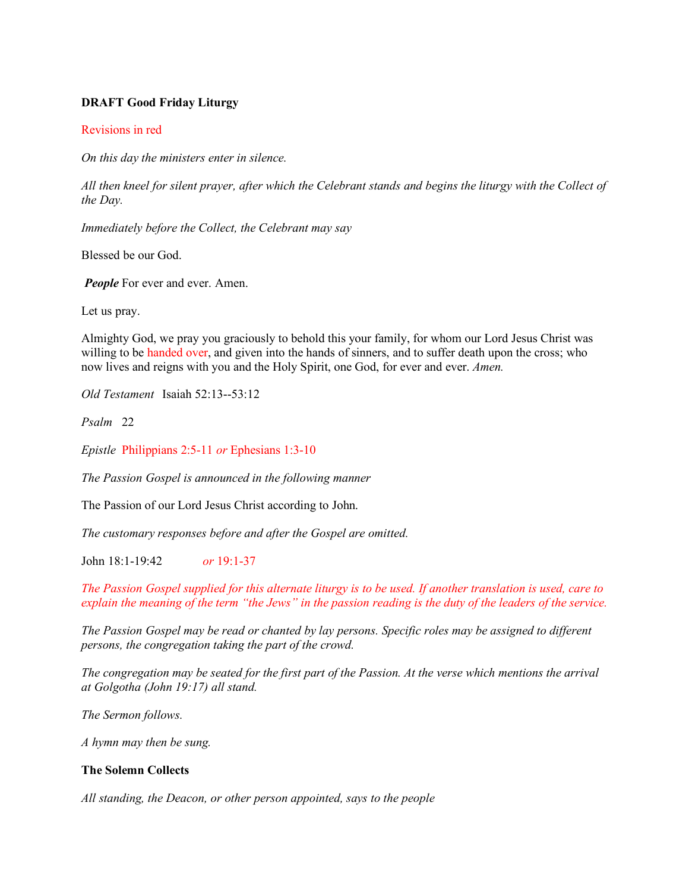## **DRAFT Good Friday Liturgy**

#### Revisions in red

*On this day the ministers enter in silence.*

*All then kneel for silent prayer, after which the Celebrant stands and begins the liturgy with the Collect of the Day.*

*Immediately before the Collect, the Celebrant may say*

Blessed be our God.

*People* For ever and ever. Amen.

Let us pray.

Almighty God, we pray you graciously to behold this your family, for whom our Lord Jesus Christ was willing to be handed over, and given into the hands of sinners, and to suffer death upon the cross; who now lives and reigns with you and the Holy Spirit, one God, for ever and ever. *Amen.*

*Old Testament* Isaiah 52:13--53:12

*Psalm* 22

*Epistle* Philippians 2:5-11 *or* Ephesians 1:3-10

*The Passion Gospel is announced in the following manner*

The Passion of our Lord Jesus Christ according to John.

*The customary responses before and after the Gospel are omitted.*

John 18:1-19:42 *or* 19:1-37

*The Passion Gospel supplied for this alternate liturgy is to be used. If another translation is used, care to explain the meaning of the term "the Jews" in the passion reading is the duty of the leaders of the service.*

*The Passion Gospel may be read or chanted by lay persons. Specific roles may be assigned to different persons, the congregation taking the part of the crowd.*

*The congregation may be seated for the first part of the Passion. At the verse which mentions the arrival at Golgotha (John 19:17) all stand.*

*The Sermon follows.*

*A hymn may then be sung.*

### **The Solemn Collects**

*All standing, the Deacon, or other person appointed, says to the people*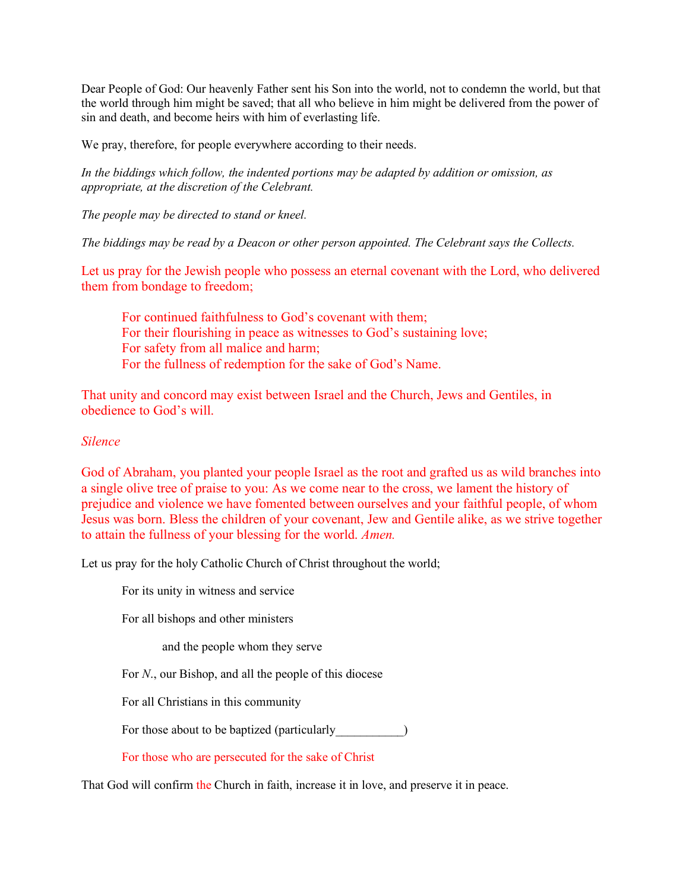Dear People of God: Our heavenly Father sent his Son into the world, not to condemn the world, but that the world through him might be saved; that all who believe in him might be delivered from the power of sin and death, and become heirs with him of everlasting life.

We pray, therefore, for people everywhere according to their needs.

*In the biddings which follow, the indented portions may be adapted by addition or omission, as appropriate, at the discretion of the Celebrant.*

*The people may be directed to stand or kneel.*

*The biddings may be read by a Deacon or other person appointed. The Celebrant says the Collects.*

Let us pray for the Jewish people who possess an eternal covenant with the Lord, who delivered them from bondage to freedom;

For continued faithfulness to God's covenant with them; For their flourishing in peace as witnesses to God's sustaining love; For safety from all malice and harm; For the fullness of redemption for the sake of God's Name.

That unity and concord may exist between Israel and the Church, Jews and Gentiles, in obedience to God's will.

# *Silence*

God of Abraham, you planted your people Israel as the root and grafted us as wild branches into a single olive tree of praise to you: As we come near to the cross, we lament the history of prejudice and violence we have fomented between ourselves and your faithful people, of whom Jesus was born. Bless the children of your covenant, Jew and Gentile alike, as we strive together to attain the fullness of your blessing for the world. *Amen.*

Let us pray for the holy Catholic Church of Christ throughout the world;

For its unity in witness and service

For all bishops and other ministers

and the people whom they serve

For *N*., our Bishop, and all the people of this diocese

For all Christians in this community

For those about to be baptized (particularly  $\qquad \qquad$ )

For those who are persecuted for the sake of Christ

That God will confirm the Church in faith, increase it in love, and preserve it in peace.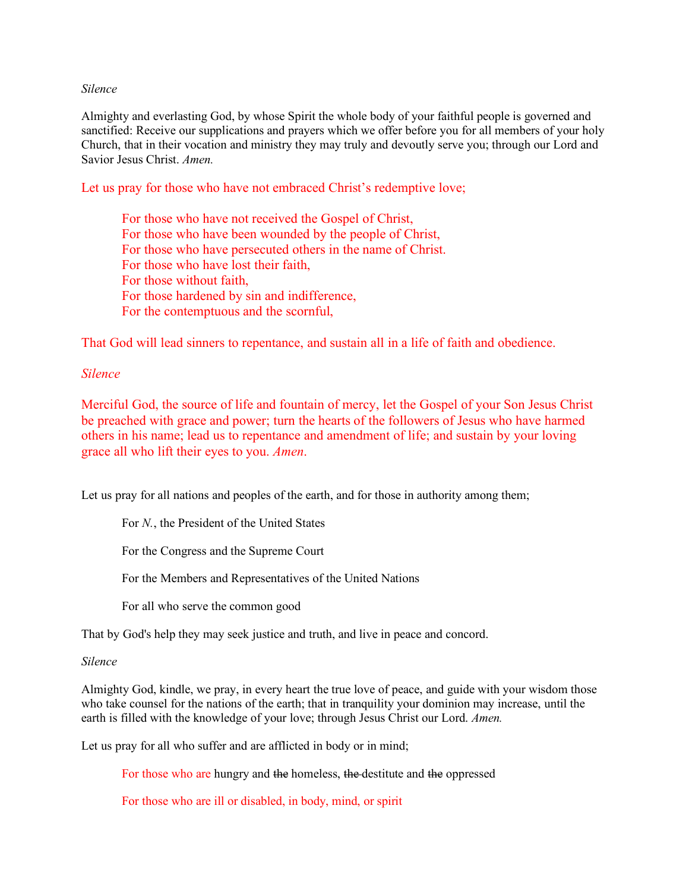#### *Silence*

Almighty and everlasting God, by whose Spirit the whole body of your faithful people is governed and sanctified: Receive our supplications and prayers which we offer before you for all members of your holy Church, that in their vocation and ministry they may truly and devoutly serve you; through our Lord and Savior Jesus Christ. *Amen.*

Let us pray for those who have not embraced Christ's redemptive love;

For those who have not received the Gospel of Christ, For those who have been wounded by the people of Christ, For those who have persecuted others in the name of Christ. For those who have lost their faith, For those without faith, For those hardened by sin and indifference, For the contemptuous and the scornful,

That God will lead sinners to repentance, and sustain all in a life of faith and obedience.

### *Silence*

Merciful God, the source of life and fountain of mercy, let the Gospel of your Son Jesus Christ be preached with grace and power; turn the hearts of the followers of Jesus who have harmed others in his name; lead us to repentance and amendment of life; and sustain by your loving grace all who lift their eyes to you. *Amen*.

Let us pray for all nations and peoples of the earth, and for those in authority among them;

For *N.*, the President of the United States

For the Congress and the Supreme Court

For the Members and Representatives of the United Nations

For all who serve the common good

That by God's help they may seek justice and truth, and live in peace and concord.

### *Silence*

Almighty God, kindle, we pray, in every heart the true love of peace, and guide with your wisdom those who take counsel for the nations of the earth; that in tranquility your dominion may increase, until the earth is filled with the knowledge of your love; through Jesus Christ our Lord. *Amen.*

Let us pray for all who suffer and are afflicted in body or in mind;

For those who are hungry and the homeless, the destitute and the oppressed

For those who are ill or disabled, in body, mind, or spirit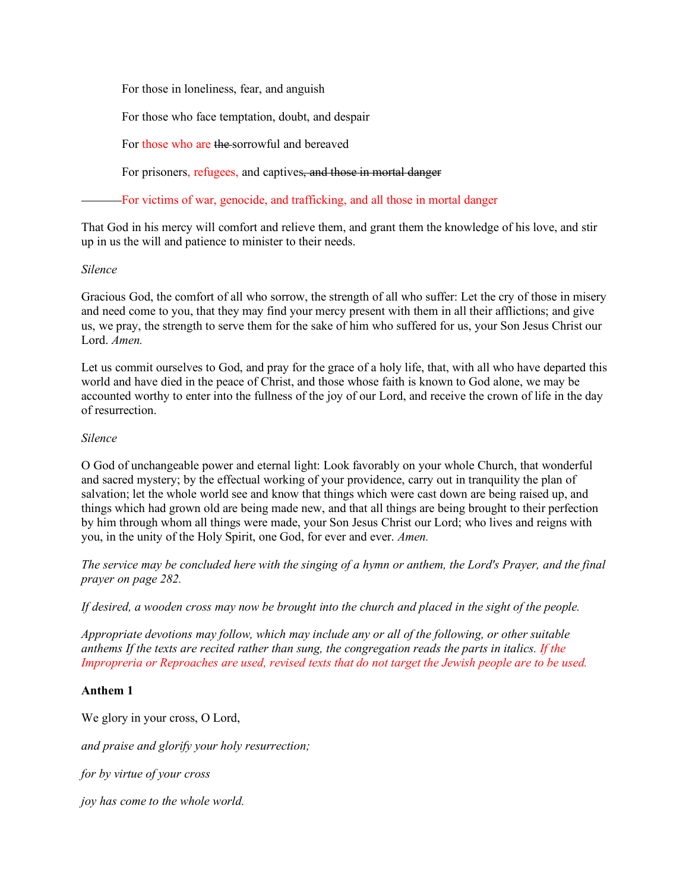For those in loneliness, fear, and anguish

For those who face temptation, doubt, and despair

For those who are the sorrowful and bereaved

For prisoners, refugees, and captives, and those in mortal danger

For victims of war, genocide, and trafficking, and all those in mortal danger

That God in his mercy will comfort and relieve them, and grant them the knowledge of his love, and stir up in us the will and patience to minister to their needs.

### *Silence*

Gracious God, the comfort of all who sorrow, the strength of all who suffer: Let the cry of those in misery and need come to you, that they may find your mercy present with them in all their afflictions; and give us, we pray, the strength to serve them for the sake of him who suffered for us, your Son Jesus Christ our Lord. *Amen.*

Let us commit ourselves to God, and pray for the grace of a holy life, that, with all who have departed this world and have died in the peace of Christ, and those whose faith is known to God alone, we may be accounted worthy to enter into the fullness of the joy of our Lord, and receive the crown of life in the day of resurrection.

### *Silence*

O God of unchangeable power and eternal light: Look favorably on your whole Church, that wonderful and sacred mystery; by the effectual working of your providence, carry out in tranquility the plan of salvation; let the whole world see and know that things which were cast down are being raised up, and things which had grown old are being made new, and that all things are being brought to their perfection by him through whom all things were made, your Son Jesus Christ our Lord; who lives and reigns with you, in the unity of the Holy Spirit, one God, for ever and ever. *Amen.*

*The service may be concluded here with the singing of a hymn or anthem, the Lord's Prayer, and the final prayer on page 282.*

*If desired, a wooden cross may now be brought into the church and placed in the sight of the people.*

*Appropriate devotions may follow, which may include any or all of the following, or other suitable anthems If the texts are recited rather than sung, the congregation reads the parts in italics. If the Impropreria or Reproaches are used, revised texts that do not target the Jewish people are to be used.*

# **Anthem 1**

We glory in your cross, O Lord,

*and praise and glorify your holy resurrection;*

*for by virtue of your cross*

*joy has come to the whole world.*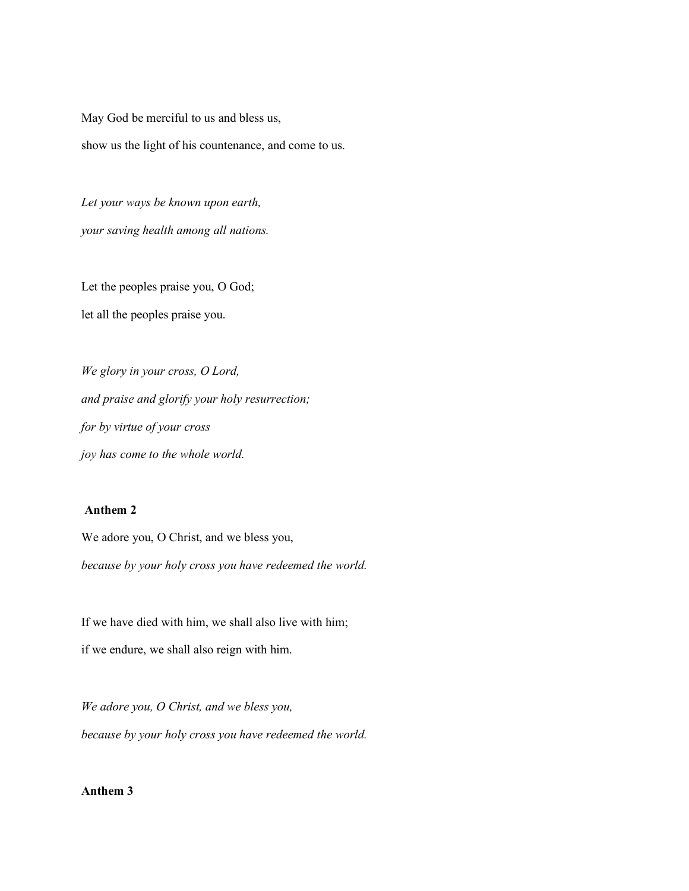May God be merciful to us and bless us, show us the light of his countenance, and come to us.

*Let your ways be known upon earth, your saving health among all nations.*

Let the peoples praise you, O God; let all the peoples praise you.

*We glory in your cross, O Lord, and praise and glorify your holy resurrection; for by virtue of your cross joy has come to the whole world.*

# **Anthem 2**

We adore you, O Christ, and we bless you, *because by your holy cross you have redeemed the world.*

If we have died with him, we shall also live with him; if we endure, we shall also reign with him.

*We adore you, O Christ, and we bless you, because by your holy cross you have redeemed the world.*

### **Anthem 3**